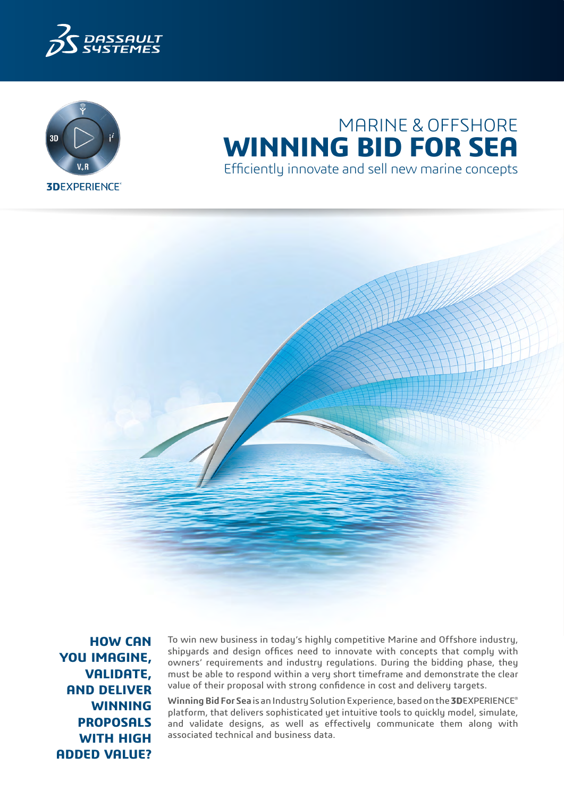



# MARINE & OFFSHORE **WINNING BID FOR SEA** Efficiently innovate and sell new marine concepts



**HOW CAN YOU IMAGINE, VALIDATE, AND DELIVER WINNING PROPOSALS WITH HIGH ADDED VALUE?**

To win new business in today's highly competitive Marine and Offshore industry, shipyards and design offices need to innovate with concepts that comply with owners' requirements and industry regulations. During the bidding phase, they must be able to respond within a very short timeframe and demonstrate the clear value of their proposal with strong confidence in cost and delivery targets.

**Winning Bid For Sea** is an Industry Solution Experience, based on the **3D**EXPERIENCE® platform, that delivers sophisticated yet intuitive tools to quickly model, simulate, and validate designs, as well as effectively communicate them along with associated technical and business data.